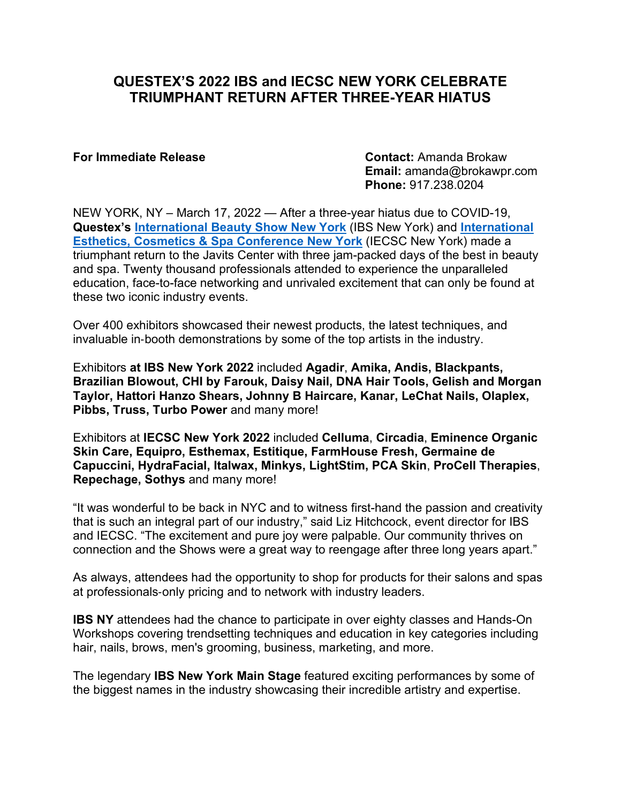# **QUESTEX'S 2022 IBS and IECSC NEW YORK CELEBRATE TRIUMPHANT RETURN AFTER THREE-YEAR HIATUS**

**For Immediate Release Contact:** Amanda Brokaw **Email:** amanda@brokawpr.com **Phone:** 917.238.0204

NEW YORK, NY – March 17, 2022 — After a three-year hiatus due to COVID-19, **Questex's [International Beauty Show New York](http://www.ibsnewyork.com/)** (IBS New York) and **[International](http://iecscnewyork.com/)  [Esthetics, Cosmetics & Spa Conference New York](http://iecscnewyork.com/)** (IECSC New York) made a triumphant return to the Javits Center with three jam-packed days of the best in beauty and spa. Twenty thousand professionals attended to experience the unparalleled education, face-to-face networking and unrivaled excitement that can only be found at these two iconic industry events.

Over 400 exhibitors showcased their newest products, the latest techniques, and invaluable in‐booth demonstrations by some of the top artists in the industry.

Exhibitors **at IBS New York 2022** included **Agadir**, **Amika, Andis, Blackpants, Brazilian Blowout, CHI by Farouk, Daisy Nail, DNA Hair Tools, Gelish and Morgan Taylor, Hattori Hanzo Shears, Johnny B Haircare, Kanar, LeChat Nails, Olaplex, Pibbs, Truss, Turbo Power** and many more!

Exhibitors at **IECSC New York 2022** included **Celluma**, **Circadia**, **Eminence Organic Skin Care, Equipro, Esthemax, Estitique, FarmHouse Fresh, Germaine de Capuccini, HydraFacial, Italwax, Minkys, LightStim, PCA Skin**, **ProCell Therapies**, **Repechage, Sothys** and many more!

"It was wonderful to be back in NYC and to witness first-hand the passion and creativity that is such an integral part of our industry," said Liz Hitchcock, event director for IBS and IECSC. "The excitement and pure joy were palpable. Our community thrives on connection and the Shows were a great way to reengage after three long years apart."

As always, attendees had the opportunity to shop for products for their salons and spas at professionals‐only pricing and to network with industry leaders.

**IBS NY** attendees had the chance to participate in over eighty classes and Hands-On Workshops covering trendsetting techniques and education in key categories including hair, nails, brows, men's grooming, business, marketing, and more.

The legendary **IBS New York Main Stage** featured exciting performances by some of the biggest names in the industry showcasing their incredible artistry and expertise.